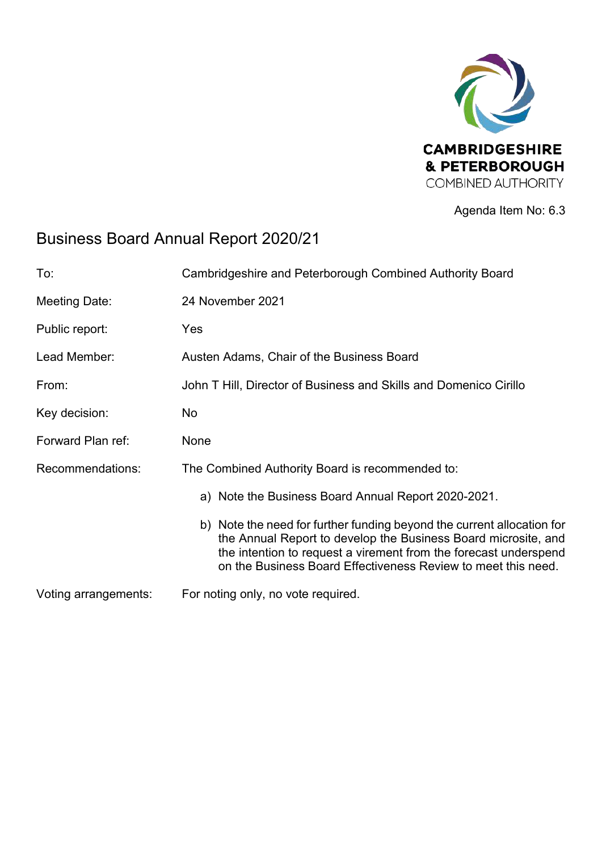

Agenda Item No: 6.3

## Business Board Annual Report 2020/21

| To:                  | Cambridgeshire and Peterborough Combined Authority Board                                                                                                                                                                                                                      |
|----------------------|-------------------------------------------------------------------------------------------------------------------------------------------------------------------------------------------------------------------------------------------------------------------------------|
| Meeting Date:        | 24 November 2021                                                                                                                                                                                                                                                              |
| Public report:       | Yes                                                                                                                                                                                                                                                                           |
| Lead Member:         | Austen Adams, Chair of the Business Board                                                                                                                                                                                                                                     |
| From:                | John T Hill, Director of Business and Skills and Domenico Cirillo                                                                                                                                                                                                             |
| Key decision:        | No                                                                                                                                                                                                                                                                            |
| Forward Plan ref:    | None                                                                                                                                                                                                                                                                          |
| Recommendations:     | The Combined Authority Board is recommended to:                                                                                                                                                                                                                               |
|                      | a) Note the Business Board Annual Report 2020-2021.                                                                                                                                                                                                                           |
|                      | b) Note the need for further funding beyond the current allocation for<br>the Annual Report to develop the Business Board microsite, and<br>the intention to request a virement from the forecast underspend<br>on the Business Board Effectiveness Review to meet this need. |
| Voting arrangements: | For noting only, no vote required.                                                                                                                                                                                                                                            |